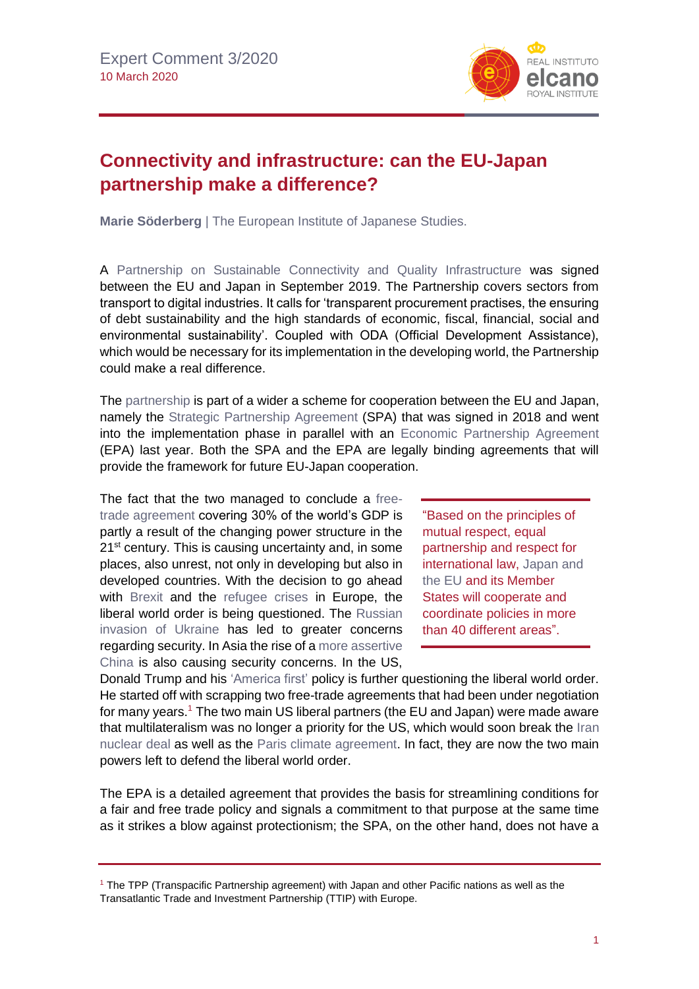

## **Connectivity and infrastructure: can the EU-Japan partnership make a difference?**

**Marie Söderberg** | The European Institute of Japanese Studies.

A [Partnership on Sustainable Connectivity and Quality Infrastructure](https://eeas.europa.eu/headquarters/headquarters-homepage/68018/partnership-sustainable-connectivity-and-quality-infrastructure-between-european-union-and_en) was signed between the EU and Japan in September 2019. The Partnership covers sectors from transport to digital industries. It calls for 'transparent procurement practises, the ensuring of debt sustainability and the high standards of economic, fiscal, financial, social and environmental sustainability'. Coupled with ODA (Official Development Assistance), which would be necessary for its implementation in the developing world, the Partnership could make a real difference.

The [partnership](http://www.realinstitutoelcano.org/wps/portal/rielcano_en/contenido?WCM_GLOBAL_CONTEXT=/elcano/elcano_in/zonas_in/commentary-goyyamamoto-eu-japan-epa-and-spa-more-than-partnership-necessary-turning-point-for-both) is part of a wider a scheme for cooperation between the EU and Japan, namely the [Strategic Partnership Agreement](http://www.realinstitutoelcano.org/wps/portal/rielcano_en/event?WCM_GLOBAL_CONTEXT=/elcano/elcano_in/calendar/activities/eu-japan-cooperation-free-open-intl-order-partnership-agreements) (SPA) that was signed in 2018 and went into the implementation phase in parallel with an [Economic Partnership Agreement](http://www.realinstitutoelcano.org/wps/portal/rielcano_en/contenido?WCM_GLOBAL_CONTEXT=/elcano/elcano_es/zonas_es/asia-pacifico/ari22-2019-felbermayr-eu-japan-economic-partnership-agreement-revitalisation-international-economic-liberal-order) (EPA) last year. Both the SPA and the EPA are legally binding agreements that will provide the framework for future EU-Japan cooperation.

The fact that the two managed to conclude a [free](http://www.realinstitutoelcano.org/wps/portal/rielcano_en/contenido?WCM_GLOBAL_CONTEXT=/elcano/elcano_es/zonas_es/asia-pacifico/ari22-2019-felbermayr-eu-japan-economic-partnership-agreement-revitalisation-international-economic-liberal-order)[trade agreement](http://www.realinstitutoelcano.org/wps/portal/rielcano_en/contenido?WCM_GLOBAL_CONTEXT=/elcano/elcano_es/zonas_es/asia-pacifico/ari22-2019-felbermayr-eu-japan-economic-partnership-agreement-revitalisation-international-economic-liberal-order) covering 30% of the world's GDP is partly a result of the changing power structure in the 21<sup>st</sup> century. This is causing uncertainty and, in some places, also unrest, not only in developing but also in developed countries. With the decision to go ahead with [Brexit](https://especiales.realinstitutoelcano.org/brexit/) and the [refugee crises](http://www.realinstitutoelcano.org/wps/portal/rielcano_en/research-topics/demography-migrations) in Europe, the liberal world order is being questioned. The [Russian](https://blog.realinstitutoelcano.org/en/global-spectator-the-west-and-russia-which-way-out-of-the-ukraine-crisis/)  [invasion of Ukraine](https://blog.realinstitutoelcano.org/en/global-spectator-the-west-and-russia-which-way-out-of-the-ukraine-crisis/) has led to greater concerns regarding security. In Asia the rise of [a more assertive](http://www.realinstitutoelcano.org/wps/portal/rielcano_en/contenido?WCM_GLOBAL_CONTEXT=/elcano/elcano_es/zonas_es/asia-pacifico/ari60-2015-chinas-growing-assertiveness-in-the-south-china-sea)  [China](http://www.realinstitutoelcano.org/wps/portal/rielcano_en/contenido?WCM_GLOBAL_CONTEXT=/elcano/elcano_es/zonas_es/asia-pacifico/ari60-2015-chinas-growing-assertiveness-in-the-south-china-sea) is also causing security concerns. In the US,

"Based on the principles of mutual respect, equal partnership and respect for international law, [Japan and](/wps/portal/rielcano_en/contenido?WCM_GLOBAL_CONTEXT=/elcano/elcano_in/zonas_in/ari11-2020-gascon-society-5-0-eu-japanese-cooperation-and-opportunities-and-challenges-posed-by-data-economy)  [the EU](/wps/portal/rielcano_en/contenido?WCM_GLOBAL_CONTEXT=/elcano/elcano_in/zonas_in/ari11-2020-gascon-society-5-0-eu-japanese-cooperation-and-opportunities-and-challenges-posed-by-data-economy) and its Member States will cooperate and coordinate policies in more than 40 different areas".

Donald Trump and his ['America first'](http://www.realinstitutoelcano.org/wps/portal/rielcano_es/contenido?WCM_GLOBAL_CONTEXT=/elcano/elcano_es/zonas_es/comentario-llaudes-trump-europa-ano-mandato) policy is further questioning the liberal world order. He started off with scrapping two free-trade agreements that had been under negotiation for many years.<sup>1</sup> The two main US liberal partners (the EU and Japan) were made aware that multilateralism was no longer a priority for the US, which would soon break the [Iran](https://blog.realinstitutoelcano.org/en/saudi-arabia-vs-iran-the-real-rivalry-in-the-middle-east/)  [nuclear deal](https://blog.realinstitutoelcano.org/en/saudi-arabia-vs-iran-the-real-rivalry-in-the-middle-east/) as well as the [Paris climate agreement.](http://www.realinstitutoelcano.org/wps/portal/rielcano_en/contenido?WCM_GLOBAL_CONTEXT=/elcano/elcano_in/zonas_in/ari2-2016-lazarotouza-cop21-paris-agreement-diplomacy-masterclass-search-greater-climate-ambition) In fact, they are now the two main powers left to defend the liberal world order.

The EPA is a detailed agreement that provides the basis for streamlining conditions for a fair and free trade policy and signals a commitment to that purpose at the same time as it strikes a blow against protectionism; the SPA, on the other hand, does not have a

<sup>1</sup> The TPP (Transpacific Partnership agreement) with Japan and other Pacific nations as well as the Transatlantic Trade and Investment Partnership (TTIP) with Europe.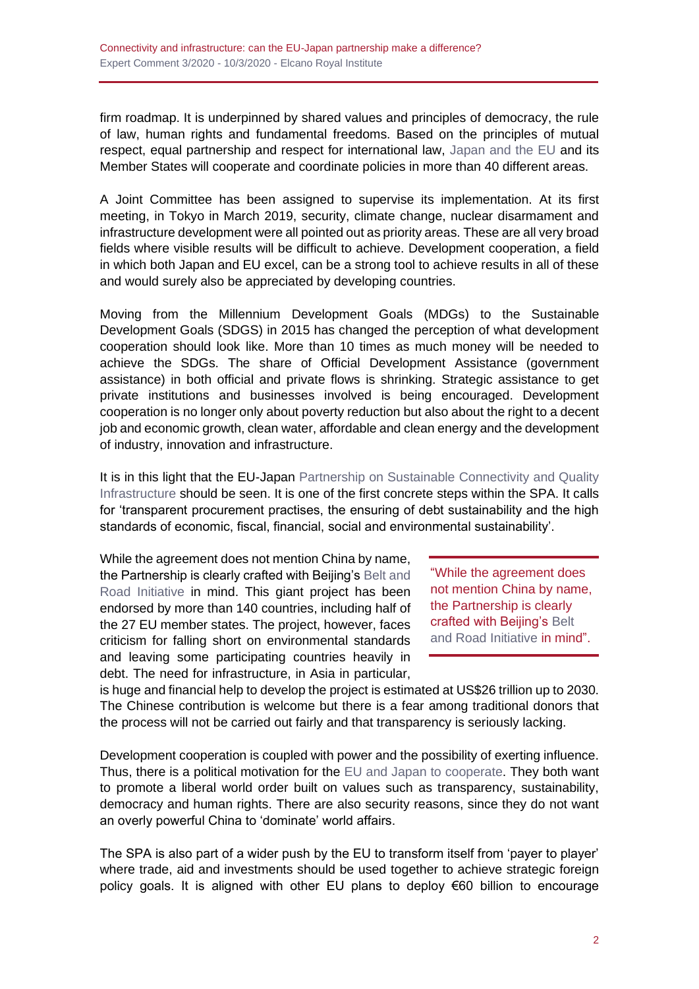firm roadmap. It is underpinned by shared values and principles of democracy, the rule of law, human rights and fundamental freedoms. Based on the principles of mutual respect, equal partnership and respect for international law, [Japan and the EU](http://www.realinstitutoelcano.org/wps/portal/rielcano_en/contenido?WCM_GLOBAL_CONTEXT=/elcano/elcano_in/zonas_in/ari11-2020-gascon-society-5-0-eu-japanese-cooperation-and-opportunities-and-challenges-posed-by-data-economy) and its Member States will cooperate and coordinate policies in more than 40 different areas.

A Joint Committee has been assigned to supervise its implementation. At its first meeting, in Tokyo in March 2019, security, climate change, nuclear disarmament and infrastructure development were all pointed out as priority areas. These are all very broad fields where visible results will be difficult to achieve. Development cooperation, a field in which both Japan and EU excel, can be a strong tool to achieve results in all of these and would surely also be appreciated by developing countries.

Moving from the Millennium Development Goals (MDGs) to the Sustainable Development Goals (SDGS) in 2015 has changed the perception of what development cooperation should look like. More than 10 times as much money will be needed to achieve the SDGs. The share of Official Development Assistance (government assistance) in both official and private flows is shrinking. Strategic assistance to get private institutions and businesses involved is being encouraged. Development cooperation is no longer only about poverty reduction but also about the right to a decent job and economic growth, clean water, affordable and clean energy and the development of industry, innovation and infrastructure.

It is in this light that the EU-Japan Partnership on Sustainable Connectivity and Quality [Infrastructure](http://www.realinstitutoelcano.org/wps/portal/rielcano_en/contenido?WCM_GLOBAL_CONTEXT=/elcano/elcano_in/zonas_in/ari12-2020-esteban-armanini-eu-japan-connectivity-partnership-sustainable-initiative-awaiting-materialisation) should be seen. It is one of the first concrete steps within the SPA. It calls for 'transparent procurement practises, the ensuring of debt sustainability and the high standards of economic, fiscal, financial, social and environmental sustainability'.

While the agreement does not mention China by name, the Partnership is clearly crafted with Beijing'[s Belt and](http://www.realinstitutoelcano.org/wps/portal/rielcano_en/contenido?WCM_GLOBAL_CONTEXT=/elcano/elcano_in/zonas_in/ari23-2015-esteban-oteroiglesias-what-are-prospects-for-new-chinese-led-silk-road-and-asian-infrastructure-investment-bank)  [Road Initiative](http://www.realinstitutoelcano.org/wps/portal/rielcano_en/contenido?WCM_GLOBAL_CONTEXT=/elcano/elcano_in/zonas_in/ari23-2015-esteban-oteroiglesias-what-are-prospects-for-new-chinese-led-silk-road-and-asian-infrastructure-investment-bank) in mind. This giant project has been endorsed by more than 140 countries, including half of the 27 EU member states. The project, however, faces criticism for falling short on environmental standards and leaving some participating countries heavily in debt. The need for infrastructure, in Asia in particular,

"While the agreement does not mention China by name, the Partnership is clearly crafted with Beijing's [Belt](http://www.realinstitutoelcano.org/wps/portal/rielcano_en/contenido?WCM_GLOBAL_CONTEXT=/elcano/elcano_in/zonas_in/ari23-2015-esteban-oteroiglesias-what-are-prospects-for-new-chinese-led-silk-road-and-asian-infrastructure-investment-bank)  [and Road Initiative](http://www.realinstitutoelcano.org/wps/portal/rielcano_en/contenido?WCM_GLOBAL_CONTEXT=/elcano/elcano_in/zonas_in/ari23-2015-esteban-oteroiglesias-what-are-prospects-for-new-chinese-led-silk-road-and-asian-infrastructure-investment-bank) in mind".

is huge and financial help to develop the project is estimated at US\$26 trillion up to 2030. The Chinese contribution is welcome but there is a fear among traditional donors that the process will not be carried out fairly and that transparency is seriously lacking.

Development cooperation is coupled with power and the possibility of exerting influence. Thus, there is a political motivation for the [EU and Japan to cooperate.](http://www.realinstitutoelcano.org/wps/portal/rielcano_en/event?WCM_GLOBAL_CONTEXT=/elcano/elcano_in/calendar/activities/panel-discussion-innovation-connectivity-key-drivers-eu-japan-cooperation) They both want to promote a liberal world order built on values such as transparency, sustainability, democracy and human rights. There are also security reasons, since they do not want an overly powerful China to 'dominate' world affairs.

The SPA is also part of a wider push by the EU to transform itself from 'payer to player' where trade, aid and investments should be used together to achieve strategic foreign policy goals. It is aligned with other EU plans to deploy €60 billion to encourage